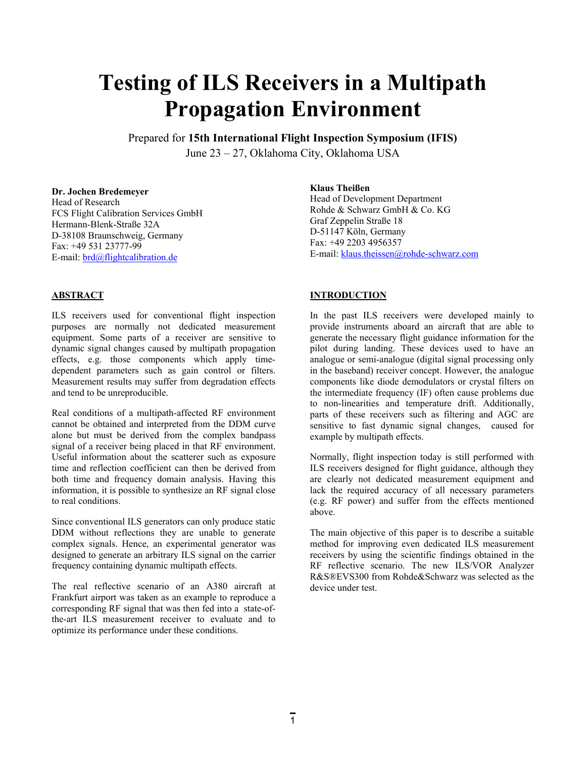# **Testing of ILS Receivers in a Multipath Propagation Environment**

Prepared for **15th International Flight Inspection Symposium (IFIS)** 

June 23 – 27, Oklahoma City, Oklahoma USA

### **Dr. Jochen Bredemeyer**

Head of Research FCS Flight Calibration Services GmbH Hermann-Blenk-Straße 32A D-38108 Braunschweig, Germany Fax: +49 531 23777-99 E-mail: [brd@flightcalibration.de](mailto:brd@flightcalibration.de)

# **Klaus Theißen**

Head of Development Department Rohde & Schwarz GmbH & Co. KG Graf Zeppelin Straße 18 D-51147 Köln, Germany Fax: +49 2203 4956357 E-mail: [klaus.theissen@rohde-schwarz.com](mailto:klaus.theissen@rohde-schwarz.com)

# **ABSTRACT**

ILS receivers used for conventional flight inspection purposes are normally not dedicated measurement equipment. Some parts of a receiver are sensitive to dynamic signal changes caused by multipath propagation effects, e.g. those components which apply timedependent parameters such as gain control or filters. Measurement results may suffer from degradation effects and tend to be unreproducible.

Real conditions of a multipath-affected RF environment cannot be obtained and interpreted from the DDM curve alone but must be derived from the complex bandpass signal of a receiver being placed in that RF environment. Useful information about the scatterer such as exposure time and reflection coefficient can then be derived from both time and frequency domain analysis. Having this information, it is possible to synthesize an RF signal close to real conditions.

Since conventional ILS generators can only produce static DDM without reflections they are unable to generate complex signals. Hence, an experimental generator was designed to generate an arbitrary ILS signal on the carrier frequency containing dynamic multipath effects.

The real reflective scenario of an A380 aircraft at Frankfurt airport was taken as an example to reproduce a corresponding RF signal that was then fed into a state-ofthe-art ILS measurement receiver to evaluate and to optimize its performance under these conditions.

# **INTRODUCTION**

In the past ILS receivers were developed mainly to provide instruments aboard an aircraft that are able to generate the necessary flight guidance information for the pilot during landing. These devices used to have an analogue or semi-analogue (digital signal processing only in the baseband) receiver concept. However, the analogue components like diode demodulators or crystal filters on the intermediate frequency (IF) often cause problems due to non-linearities and temperature drift. Additionally, parts of these receivers such as filtering and AGC are sensitive to fast dynamic signal changes, caused for example by multipath effects.

Normally, flight inspection today is still performed with ILS receivers designed for flight guidance, although they are clearly not dedicated measurement equipment and lack the required accuracy of all necessary parameters (e.g. RF power) and suffer from the effects mentioned above.

The main objective of this paper is to describe a suitable method for improving even dedicated ILS measurement receivers by using the scientific findings obtained in the RF reflective scenario. The new ILS/VOR Analyzer R&S®EVS300 from Rohde&Schwarz was selected as the device under test.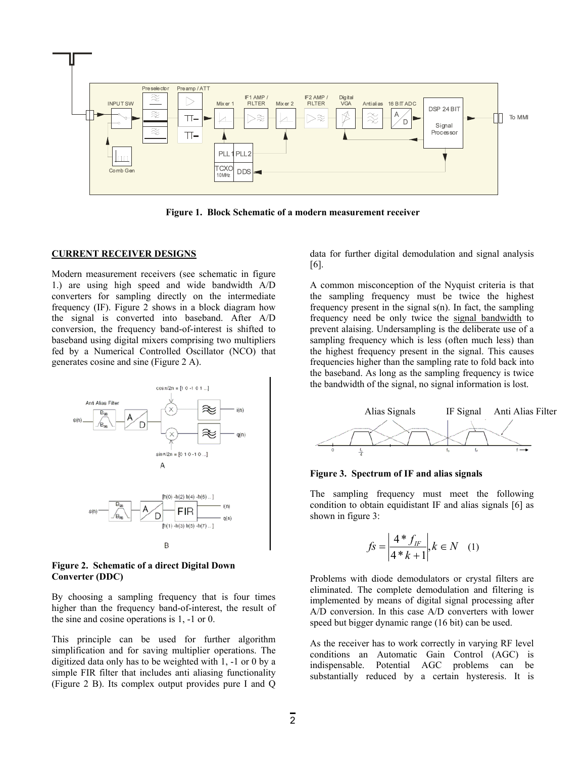

**Figure 1. Block Schematic of a modern measurement receiver** 

#### **CURRENT RECEIVER DESIGNS**

Modern measurement receivers (see schematic in figure 1.) are using high speed and wide bandwidth A/D converters for sampling directly on the intermediate frequency (IF). Figure 2 shows in a block diagram how the signal is converted into baseband. After A/D conversion, the frequency band-of-interest is shifted to baseband using digital mixers comprising two multipliers fed by a Numerical Controlled Oscillator (NCO) that generates cosine and sine (Figure 2 A).



**Figure 2. Schematic of a direct Digital Down Converter (DDC)** 

By choosing a sampling frequency that is four times higher than the frequency band-of-interest, the result of the sine and cosine operations is 1, -1 or 0.

This principle can be used for further algorithm simplification and for saving multiplier operations. The digitized data only has to be weighted with 1, -1 or 0 by a simple FIR filter that includes anti aliasing functionality (Figure 2 B). Its complex output provides pure I and Q data for further digital demodulation and signal analysis [6].

A common misconception of the Nyquist criteria is that the sampling frequency must be twice the highest frequency present in the signal s(n). In fact, the sampling frequency need be only twice the signal bandwidth to prevent alaising. Undersampling is the deliberate use of a sampling frequency which is less (often much less) than the highest frequency present in the signal. This causes frequencies higher than the sampling rate to fold back into the baseband. As long as the sampling frequency is twice the bandwidth of the signal, no signal information is lost.



**Figure 3. Spectrum of IF and alias signals** 

The sampling frequency must meet the following condition to obtain equidistant IF and alias signals [6] as shown in figure 3:

$$
f_S = \left| \frac{4 * f_{IF}}{4 * k + 1} \right|, k \in N \quad (1)
$$

Problems with diode demodulators or crystal filters are eliminated. The complete demodulation and filtering is implemented by means of digital signal processing after A/D conversion. In this case A/D converters with lower speed but bigger dynamic range (16 bit) can be used.

As the receiver has to work correctly in varying RF level conditions an Automatic Gain Control (AGC) is indispensable. Potential AGC problems can be substantially reduced by a certain hysteresis. It is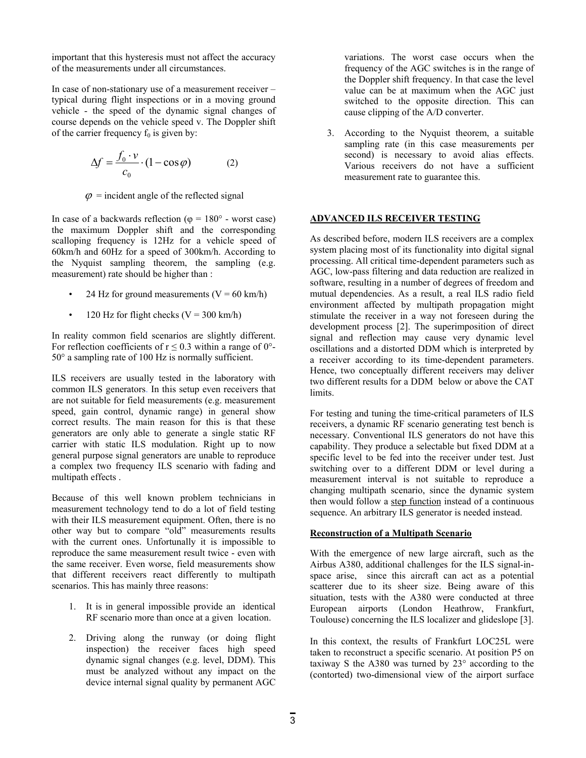important that this hysteresis must not affect the accuracy of the measurements under all circumstances.

In case of non-stationary use of a measurement receiver – typical during flight inspections or in a moving ground vehicle - the speed of the dynamic signal changes of course depends on the vehicle speed v. The Doppler shift of the carrier frequency  $f_0$  is given by:

$$
\Delta f = \frac{f_0 \cdot v}{c_0} \cdot (1 - \cos \varphi) \tag{2}
$$

 $\varphi$  = incident angle of the reflected signal

In case of a backwards reflection ( $\varphi = 180^\circ$  - worst case) the maximum Doppler shift and the corresponding scalloping frequency is 12Hz for a vehicle speed of 60km/h and 60Hz for a speed of 300km/h. According to the Nyquist sampling theorem, the sampling (e.g. measurement) rate should be higher than :

- 24 Hz for ground measurements  $(V = 60 \text{ km/h})$
- 120 Hz for flight checks  $(V = 300 \text{ km/h})$

In reality common field scenarios are slightly different. For reflection coefficients of  $r \le 0.3$  within a range of 0°-50° a sampling rate of 100 Hz is normally sufficient.

ILS receivers are usually tested in the laboratory with common ILS generators. In this setup even receivers that are not suitable for field measurements (e.g. measurement speed, gain control, dynamic range) in general show correct results. The main reason for this is that these generators are only able to generate a single static RF carrier with static ILS modulation. Right up to now general purpose signal generators are unable to reproduce a complex two frequency ILS scenario with fading and multipath effects .

Because of this well known problem technicians in measurement technology tend to do a lot of field testing with their ILS measurement equipment. Often, there is no other way but to compare "old" measurements results with the current ones. Unfortunally it is impossible to reproduce the same measurement result twice - even with the same receiver. Even worse, field measurements show that different receivers react differently to multipath scenarios. This has mainly three reasons:

- 1. It is in general impossible provide an identical RF scenario more than once at a given location.
- 2. Driving along the runway (or doing flight inspection) the receiver faces high speed dynamic signal changes (e.g. level, DDM). This must be analyzed without any impact on the device internal signal quality by permanent AGC

variations. The worst case occurs when the frequency of the AGC switches is in the range of the Doppler shift frequency. In that case the level value can be at maximum when the AGC just switched to the opposite direction. This can cause clipping of the A/D converter.

3. According to the Nyquist theorem, a suitable sampling rate (in this case measurements per second) is necessary to avoid alias effects. Various receivers do not have a sufficient measurement rate to guarantee this.

## **ADVANCED ILS RECEIVER TESTING**

As described before, modern ILS receivers are a complex system placing most of its functionality into digital signal processing. All critical time-dependent parameters such as AGC, low-pass filtering and data reduction are realized in software, resulting in a number of degrees of freedom and mutual dependencies. As a result, a real ILS radio field environment affected by multipath propagation might stimulate the receiver in a way not foreseen during the development process [2]. The superimposition of direct signal and reflection may cause very dynamic level oscillations and a distorted DDM which is interpreted by a receiver according to its time-dependent parameters. Hence, two conceptually different receivers may deliver two different results for a DDM below or above the CAT limits.

For testing and tuning the time-critical parameters of ILS receivers, a dynamic RF scenario generating test bench is necessary. Conventional ILS generators do not have this capability. They produce a selectable but fixed DDM at a specific level to be fed into the receiver under test. Just switching over to a different DDM or level during a measurement interval is not suitable to reproduce a changing multipath scenario, since the dynamic system then would follow a step function instead of a continuous sequence. An arbitrary ILS generator is needed instead.

#### **Reconstruction of a Multipath Scenario**

With the emergence of new large aircraft, such as the Airbus A380, additional challenges for the ILS signal-inspace arise, since this aircraft can act as a potential scatterer due to its sheer size. Being aware of this situation, tests with the A380 were conducted at three European airports (London Heathrow, Frankfurt, Toulouse) concerning the ILS localizer and glideslope [3].

In this context, the results of Frankfurt LOC25L were taken to reconstruct a specific scenario. At position P5 on taxiway S the A380 was turned by 23° according to the (contorted) two-dimensional view of the airport surface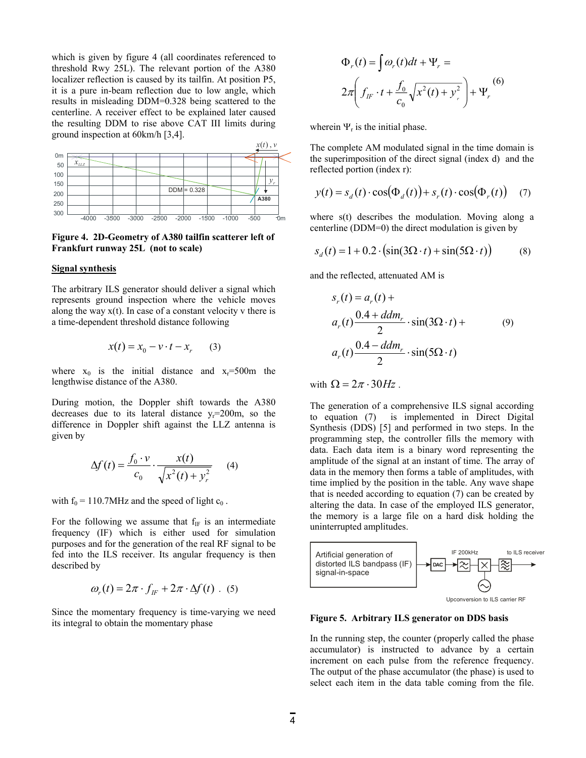which is given by figure 4 (all coordinates referenced to threshold Rwy 25L). The relevant portion of the A380 localizer reflection is caused by its tailfin. At position P5, it is a pure in-beam reflection due to low angle, which results in misleading DDM=0.328 being scattered to the centerline. A receiver effect to be explained later caused the resulting DDM to rise above CAT III limits during ground inspection at 60km/h [3,4].



**Figure 4. 2D-Geometry of A380 tailfin scatterer left of Frankfurt runway 25L (not to scale)**

#### **Signal synthesis**

The arbitrary ILS generator should deliver a signal which represents ground inspection where the vehicle moves along the way  $x(t)$ . In case of a constant velocity v there is a time-dependent threshold distance following

$$
x(t) = x_0 - v \cdot t - x_r \qquad (3)
$$

where  $x_0$  is the initial distance and  $x_r=500$ m the lengthwise distance of the A380.

During motion, the Doppler shift towards the A380 decreases due to its lateral distance  $v_r = 200$ m, so the difference in Doppler shift against the LLZ antenna is given by

$$
\Delta f(t) = \frac{f_0 \cdot v}{c_0} \cdot \frac{x(t)}{\sqrt{x^2(t) + y_r^2}} \qquad (4)
$$

with  $f_0 = 110.7$ MHz and the speed of light  $c_0$ .

For the following we assume that  $f_{IF}$  is an intermediate frequency (IF) which is either used for simulation purposes and for the generation of the real RF signal to be fed into the ILS receiver. Its angular frequency is then described by

$$
\omega_r(t) = 2\pi \cdot f_{ir} + 2\pi \cdot \Delta f(t) \ . \tag{5}
$$

Since the momentary frequency is time-varying we need its integral to obtain the momentary phase

$$
\Phi_r(t) = \int \omega_r(t)dt + \Psi_r =
$$
  

$$
2\pi \left( f_{IF} \cdot t + \frac{f_0}{c_0} \sqrt{x^2(t) + y_r^2} \right) + \Psi_r
$$
 (6)

wherein  $\Psi_r$  is the initial phase.

The complete AM modulated signal in the time domain is the superimposition of the direct signal (index d) and the reflected portion (index r):

$$
y(t) = s_d(t) \cdot \cos(\Phi_d(t)) + s_r(t) \cdot \cos(\Phi_r(t)) \quad (7)
$$

where s(t) describes the modulation. Moving along a centerline (DDM=0) the direct modulation is given by

$$
s_d(t) = 1 + 0.2 \cdot \left(\sin(3\Omega \cdot t) + \sin(5\Omega \cdot t)\right) \tag{8}
$$

and the reflected, attenuated AM is

$$
s_r(t) = a_r(t) +
$$
  
\n
$$
a_r(t) \frac{0.4 + ddm_r}{2} \cdot \sin(3\Omega \cdot t) +
$$
  
\n
$$
a_r(t) \frac{0.4 - ddm_r}{2} \cdot \sin(5\Omega \cdot t)
$$
\n(9)

with  $\Omega = 2\pi \cdot 30 Hz$ .

The generation of a comprehensive ILS signal according to equation (7) is implemented in Direct Digital Synthesis (DDS) [5] and performed in two steps. In the programming step, the controller fills the memory with data. Each data item is a binary word representing the amplitude of the signal at an instant of time. The array of data in the memory then forms a table of amplitudes, with time implied by the position in the table. Any wave shape that is needed according to equation (7) can be created by altering the data. In case of the employed ILS generator, the memory is a large file on a hard disk holding the uninterrupted amplitudes.



**Figure 5. Arbitrary ILS generator on DDS basis** 

In the running step, the counter (properly called the phase accumulator) is instructed to advance by a certain increment on each pulse from the reference frequency. The output of the phase accumulator (the phase) is used to select each item in the data table coming from the file.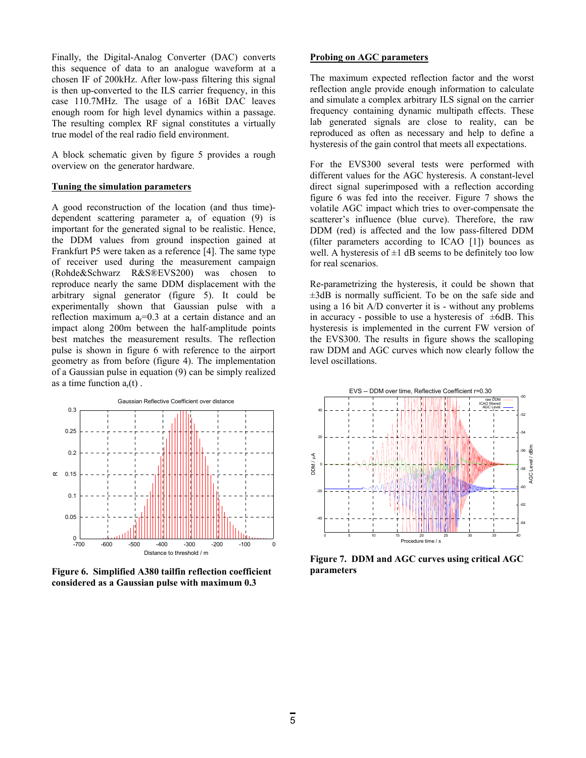Finally, the Digital-Analog Converter (DAC) converts this sequence of data to an analogue waveform at a chosen IF of 200kHz. After low-pass filtering this signal is then up-converted to the ILS carrier frequency, in this case 110.7MHz. The usage of a 16Bit DAC leaves enough room for high level dynamics within a passage. The resulting complex RF signal constitutes a virtually true model of the real radio field environment.

A block schematic given by figure 5 provides a rough overview on the generator hardware.

#### **Tuning the simulation parameters**

A good reconstruction of the location (and thus time) dependent scattering parameter  $a_r$  of equation (9) is important for the generated signal to be realistic. Hence, the DDM values from ground inspection gained at Frankfurt P5 were taken as a reference [4]. The same type of receiver used during the measurement campaign (Rohde&Schwarz R&S®EVS200) was chosen to reproduce nearly the same DDM displacement with the arbitrary signal generator (figure 5). It could be experimentally shown that Gaussian pulse with a reflection maximum  $a_r=0.3$  at a certain distance and an impact along 200m between the half-amplitude points best matches the measurement results. The reflection pulse is shown in figure 6 with reference to the airport geometry as from before (figure 4). The implementation of a Gaussian pulse in equation (9) can be simply realized as a time function  $a_r(t)$ .



**Figure 6. Simplified A380 tailfin reflection coefficient considered as a Gaussian pulse with maximum 0.3** 

## **Probing on AGC parameters**

The maximum expected reflection factor and the worst reflection angle provide enough information to calculate and simulate a complex arbitrary ILS signal on the carrier frequency containing dynamic multipath effects. These lab generated signals are close to reality, can be reproduced as often as necessary and help to define a hysteresis of the gain control that meets all expectations.

For the EVS300 several tests were performed with different values for the AGC hysteresis. A constant-level direct signal superimposed with a reflection according figure 6 was fed into the receiver. Figure 7 shows the volatile AGC impact which tries to over-compensate the scatterer's influence (blue curve). Therefore, the raw DDM (red) is affected and the low pass-filtered DDM (filter parameters according to ICAO [1]) bounces as well. A hysteresis of  $\pm 1$  dB seems to be definitely too low for real scenarios.

Re-parametrizing the hysteresis, it could be shown that ±3dB is normally sufficient. To be on the safe side and using a 16 bit A/D converter it is - without any problems in accuracy - possible to use a hysteresis of  $\pm 6$ dB. This hysteresis is implemented in the current FW version of the EVS300. The results in figure shows the scalloping raw DDM and AGC curves which now clearly follow the level oscillations.



**Figure 7. DDM and AGC curves using critical AGC parameters**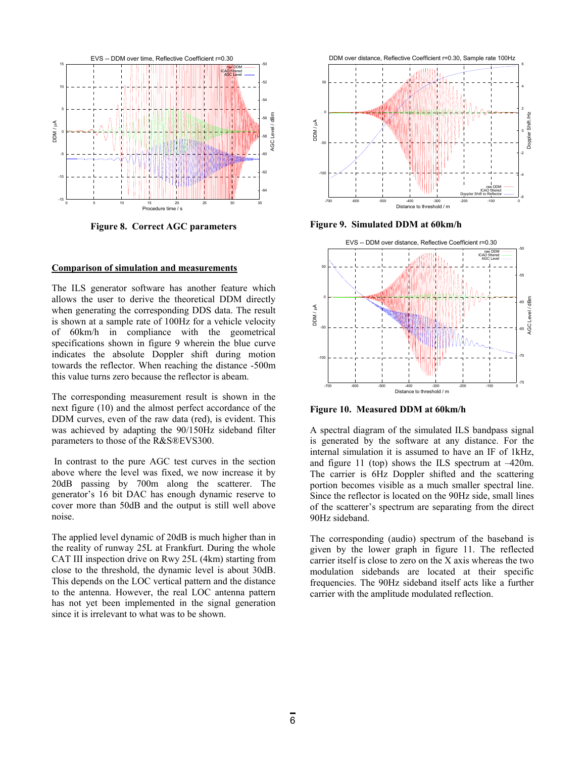

**Figure 8. Correct AGC parameters** 

#### **Comparison of simulation and measurements**

The ILS generator software has another feature which allows the user to derive the theoretical DDM directly when generating the corresponding DDS data. The result is shown at a sample rate of 100Hz for a vehicle velocity of 60km/h in compliance with the geometrical specifications shown in figure 9 wherein the blue curve indicates the absolute Doppler shift during motion towards the reflector. When reaching the distance -500m this value turns zero because the reflector is abeam.

The corresponding measurement result is shown in the next figure (10) and the almost perfect accordance of the DDM curves, even of the raw data (red), is evident. This was achieved by adapting the 90/150Hz sideband filter parameters to those of the R&S®EVS300.

In contrast to the pure AGC test curves in the section above where the level was fixed, we now increase it by 20dB passing by 700m along the scatterer. The generator's 16 bit DAC has enough dynamic reserve to cover more than 50dB and the output is still well above noise.

The applied level dynamic of 20dB is much higher than in the reality of runway 25L at Frankfurt. During the whole CAT III inspection drive on Rwy 25L (4km) starting from close to the threshold, the dynamic level is about 30dB. This depends on the LOC vertical pattern and the distance to the antenna. However, the real LOC antenna pattern has not yet been implemented in the signal generation since it is irrelevant to what was to be shown.



**Figure 9. Simulated DDM at 60km/h** 



**Figure 10. Measured DDM at 60km/h** 

A spectral diagram of the simulated ILS bandpass signal is generated by the software at any distance. For the internal simulation it is assumed to have an IF of 1kHz, and figure 11 (top) shows the ILS spectrum at –420m. The carrier is 6Hz Doppler shifted and the scattering portion becomes visible as a much smaller spectral line. Since the reflector is located on the 90Hz side, small lines of the scatterer's spectrum are separating from the direct 90Hz sideband.

The corresponding (audio) spectrum of the baseband is given by the lower graph in figure 11. The reflected carrier itself is close to zero on the X axis whereas the two modulation sidebands are located at their specific frequencies. The 90Hz sideband itself acts like a further carrier with the amplitude modulated reflection.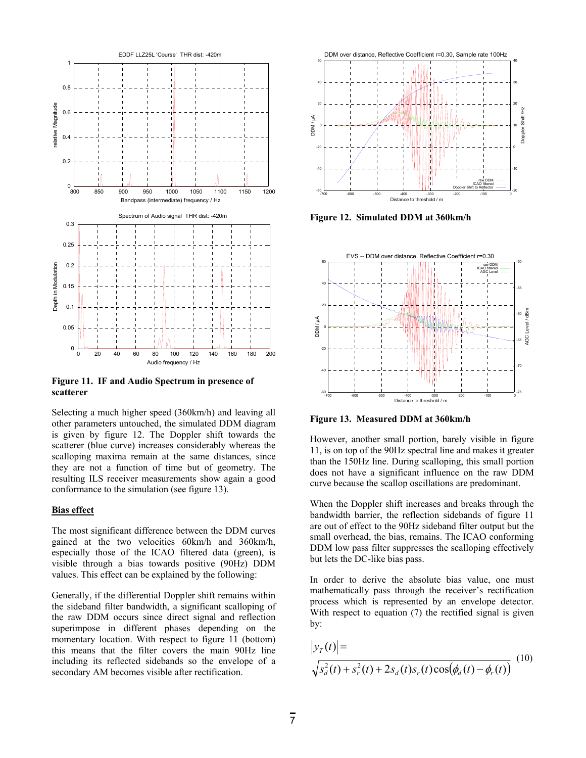

**Figure 11. IF and Audio Spectrum in presence of scatterer** 

Selecting a much higher speed (360km/h) and leaving all other parameters untouched, the simulated DDM diagram is given by figure 12. The Doppler shift towards the scatterer (blue curve) increases considerably whereas the scalloping maxima remain at the same distances, since they are not a function of time but of geometry. The resulting ILS receiver measurements show again a good conformance to the simulation (see figure 13).

#### **Bias effect**

The most significant difference between the DDM curves gained at the two velocities 60km/h and 360km/h, especially those of the ICAO filtered data (green), is visible through a bias towards positive (90Hz) DDM values. This effect can be explained by the following:

Generally, if the differential Doppler shift remains within the sideband filter bandwidth, a significant scalloping of the raw DDM occurs since direct signal and reflection superimpose in different phases depending on the momentary location. With respect to figure 11 (bottom) this means that the filter covers the main 90Hz line including its reflected sidebands so the envelope of a secondary AM becomes visible after rectification.



**Figure 12. Simulated DDM at 360km/h** 



**Figure 13. Measured DDM at 360km/h**

However, another small portion, barely visible in figure 11, is on top of the 90Hz spectral line and makes it greater than the 150Hz line. During scalloping, this small portion does not have a significant influence on the raw DDM curve because the scallop oscillations are predominant.

When the Doppler shift increases and breaks through the bandwidth barrier, the reflection sidebands of figure 11 are out of effect to the 90Hz sideband filter output but the small overhead, the bias, remains. The ICAO conforming DDM low pass filter suppresses the scalloping effectively but lets the DC-like bias pass.

In order to derive the absolute bias value, one must mathematically pass through the receiver's rectification process which is represented by an envelope detector. With respect to equation (7) the rectified signal is given by:

$$
|y_r(t)| = \sqrt{s_d^2(t) + s_r^2(t) + 2s_d(t)s_r(t)\cos(\phi_d(t) - \phi_r(t))}
$$
 (10)